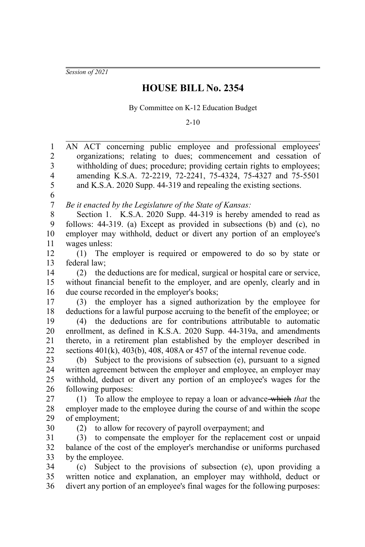*Session of 2021*

## **HOUSE BILL No. 2354**

By Committee on K-12 Education Budget

2-10

| $\mathbf{1}$<br>$\overline{2}$ | AN ACT concerning public employee and professional employees'<br>organizations; relating to dues; commencement and cessation of |
|--------------------------------|---------------------------------------------------------------------------------------------------------------------------------|
| $\overline{\mathbf{3}}$        | withholding of dues; procedure; providing certain rights to employees;                                                          |
| $\overline{4}$                 | amending K.S.A. 72-2219, 72-2241, 75-4324, 75-4327 and 75-5501                                                                  |
| 5                              | and K.S.A. 2020 Supp. 44-319 and repealing the existing sections.                                                               |
| 6                              |                                                                                                                                 |
| $\sqrt{ }$                     | Be it enacted by the Legislature of the State of Kansas:                                                                        |
| 8                              | Section 1. K.S.A. 2020 Supp. 44-319 is hereby amended to read as                                                                |
| 9                              | follows: 44-319. (a) Except as provided in subsections (b) and (c), no                                                          |
| 10                             | employer may withhold, deduct or divert any portion of an employee's                                                            |
| 11                             | wages unless:                                                                                                                   |
| 12                             | (1) The employer is required or empowered to do so by state or                                                                  |
| 13                             | federal law;                                                                                                                    |
| 14                             | the deductions are for medical, surgical or hospital care or service,<br>(2)                                                    |
| 15                             | without financial benefit to the employer, and are openly, clearly and in                                                       |
| 16                             | due course recorded in the employer's books;                                                                                    |
| 17                             | (3) the employer has a signed authorization by the employee for                                                                 |
| 18                             | deductions for a lawful purpose accruing to the benefit of the employee; or                                                     |
| 19                             | (4) the deductions are for contributions attributable to automatic                                                              |
| 20                             | enrollment, as defined in K.S.A. 2020 Supp. 44-319a, and amendments                                                             |
| 21                             | thereto, in a retirement plan established by the employer described in                                                          |
| 22                             | sections $401(k)$ , $403(b)$ , $408$ , $408A$ or $457$ of the internal revenue code.                                            |
| 23                             | (b) Subject to the provisions of subsection (e), pursuant to a signed                                                           |
| 24                             | written agreement between the employer and employee, an employer may                                                            |
| 25                             | withhold, deduct or divert any portion of an employee's wages for the                                                           |
| 26                             | following purposes:                                                                                                             |
| 27                             | To allow the employee to repay a loan or advance-which that the<br>(1)                                                          |
| 28                             | employer made to the employee during the course of and within the scope                                                         |
| 29                             | of employment;                                                                                                                  |
| 30                             | (2) to allow for recovery of payroll overpayment; and                                                                           |
| 31                             | (3) to compensate the employer for the replacement cost or unpaid                                                               |
| 32                             | balance of the cost of the employer's merchandise or uniforms purchased                                                         |
| 33                             | by the employee.                                                                                                                |
| 34                             | Subject to the provisions of subsection (e), upon providing a<br>(c)                                                            |
| 35                             | written notice and explanation, an employer may withhold, deduct or                                                             |
| 36                             | divert any portion of an employee's final wages for the following purposes:                                                     |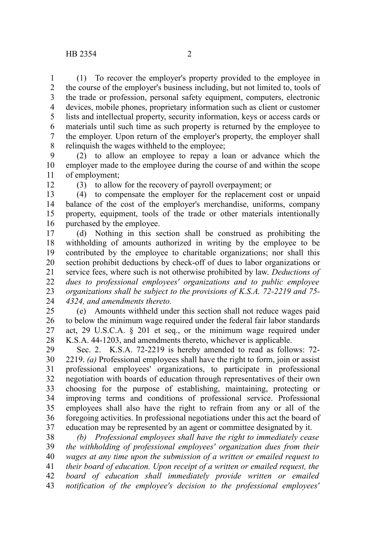(1) To recover the employer's property provided to the employee in the course of the employer's business including, but not limited to, tools of the trade or profession, personal safety equipment, computers, electronic devices, mobile phones, proprietary information such as client or customer lists and intellectual property, security information, keys or access cards or materials until such time as such property is returned by the employee to the employer. Upon return of the employer's property, the employer shall relinquish the wages withheld to the employee; 1 2 3 4 5 6 7 8

(2) to allow an employee to repay a loan or advance which the employer made to the employee during the course of and within the scope of employment; 9 10 11

12

(3) to allow for the recovery of payroll overpayment; or

(4) to compensate the employer for the replacement cost or unpaid balance of the cost of the employer's merchandise, uniforms, company property, equipment, tools of the trade or other materials intentionally purchased by the employee. 13 14 15 16

(d) Nothing in this section shall be construed as prohibiting the withholding of amounts authorized in writing by the employee to be contributed by the employee to charitable organizations; nor shall this section prohibit deductions by check-off of dues to labor organizations or service fees, where such is not otherwise prohibited by law. *Deductions of dues to professional employees' organizations and to public employee organizations shall be subject to the provisions of K.S.A. 72-2219 and 75- 4324, and amendments thereto.* 17 18 19 20 21 22 23 24

(e) Amounts withheld under this section shall not reduce wages paid to below the minimum wage required under the federal fair labor standards act, 29 U.S.C.A. § 201 et seq., or the minimum wage required under K.S.A. 44-1203, and amendments thereto, whichever is applicable. 25 26 27 28

Sec. 2. K.S.A. 72-2219 is hereby amended to read as follows: 72- 2219. *(a)* Professional employees shall have the right to form, join or assist professional employees' organizations, to participate in professional negotiation with boards of education through representatives of their own choosing for the purpose of establishing, maintaining, protecting or improving terms and conditions of professional service. Professional employees shall also have the right to refrain from any or all of the foregoing activities. In professional negotiations under this act the board of education may be represented by an agent or committee designated by it. 29 30 31 32 33 34 35 36 37

*(b) Professional employees shall have the right to immediately cease the withholding of professional employees' organization dues from their wages at any time upon the submission of a written or emailed request to their board of education. Upon receipt of a written or emailed request, the board of education shall immediately provide written or emailed notification of the employee's decision to the professional employees'* 38 39 40 41 42 43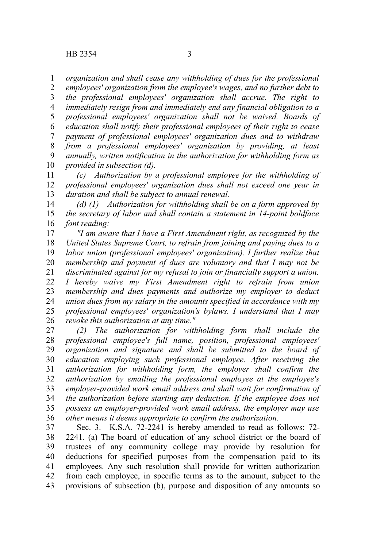*organization and shall cease any withholding of dues for the professional* 1

*employees' organization from the employee's wages, and no further debt to the professional employees' organization shall accrue. The right to immediately resign from and immediately end any financial obligation to a professional employees' organization shall not be waived. Boards of education shall notify their professional employees of their right to cease payment of professional employees' organization dues and to withdraw from a professional employees' organization by providing, at least annually, written notification in the authorization for withholding form as provided in subsection (d).* 2 3 4 5 6 7 8 9 10

*(c) Authorization by a professional employee for the withholding of professional employees' organization dues shall not exceed one year in duration and shall be subject to annual renewal.* 11 12 13

*(d) (1) Authorization for withholding shall be on a form approved by the secretary of labor and shall contain a statement in 14-point boldface font reading:* 14 15 16

*"I am aware that I have a First Amendment right, as recognized by the United States Supreme Court, to refrain from joining and paying dues to a labor union (professional employees' organization). I further realize that membership and payment of dues are voluntary and that I may not be discriminated against for my refusal to join or financially support a union. I hereby waive my First Amendment right to refrain from union membership and dues payments and authorize my employer to deduct union dues from my salary in the amounts specified in accordance with my professional employees' organization's bylaws. I understand that I may revoke this authorization at any time."* 17 18 19 20 21 22 23 24 25 26

*(2) The authorization for withholding form shall include the professional employee's full name, position, professional employees' organization and signature and shall be submitted to the board of education employing such professional employee. After receiving the authorization for withholding form, the employer shall confirm the authorization by emailing the professional employee at the employee's employer-provided work email address and shall wait for confirmation of the authorization before starting any deduction. If the employee does not possess an employer-provided work email address, the employer may use other means it deems appropriate to confirm the authorization.* 27 28 29 30 31 32 33 34 35 36

Sec. 3. K.S.A. 72-2241 is hereby amended to read as follows: 72- 2241. (a) The board of education of any school district or the board of trustees of any community college may provide by resolution for deductions for specified purposes from the compensation paid to its employees. Any such resolution shall provide for written authorization from each employee, in specific terms as to the amount, subject to the provisions of subsection (b), purpose and disposition of any amounts so 37 38 39 40 41 42 43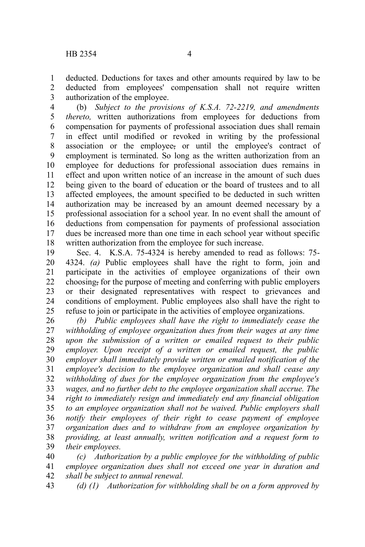deducted. Deductions for taxes and other amounts required by law to be deducted from employees' compensation shall not require written authorization of the employee. 1 2 3

(b) *Subject to the provisions of K.S.A. 72-2219, and amendments thereto,* written authorizations from employees for deductions from compensation for payments of professional association dues shall remain in effect until modified or revoked in writing by the professional association or the employee, or until the employee's contract of employment is terminated. So long as the written authorization from an employee for deductions for professional association dues remains in effect and upon written notice of an increase in the amount of such dues being given to the board of education or the board of trustees and to all affected employees, the amount specified to be deducted in such written authorization may be increased by an amount deemed necessary by a professional association for a school year. In no event shall the amount of deductions from compensation for payments of professional association dues be increased more than one time in each school year without specific written authorization from the employee for such increase. 4 5 6 7 8 9 10 11 12 13 14 15 16 17 18

Sec. 4. K.S.A. 75-4324 is hereby amended to read as follows: 75- 4324. *(a)* Public employees shall have the right to form, join and participate in the activities of employee organizations of their own choosing, for the purpose of meeting and conferring with public employers or their designated representatives with respect to grievances and conditions of employment. Public employees also shall have the right to refuse to join or participate in the activities of employee organizations. 19 20 21 22 23 24 25

*(b) Public employees shall have the right to immediately cease the withholding of employee organization dues from their wages at any time upon the submission of a written or emailed request to their public employer. Upon receipt of a written or emailed request, the public employer shall immediately provide written or emailed notification of the employee's decision to the employee organization and shall cease any withholding of dues for the employee organization from the employee's wages, and no further debt to the employee organization shall accrue. The right to immediately resign and immediately end any financial obligation to an employee organization shall not be waived. Public employers shall notify their employees of their right to cease payment of employee organization dues and to withdraw from an employee organization by providing, at least annually, written notification and a request form to their employees.* 26 27 28 29 30 31 32 33 34 35 36 37 38 39

*(c) Authorization by a public employee for the withholding of public employee organization dues shall not exceed one year in duration and shall be subject to annual renewal.* 40 41 42

*(d) (1) Authorization for withholding shall be on a form approved by* 43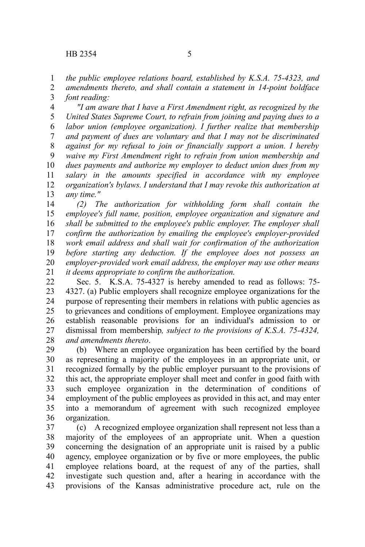*the public employee relations board, established by K.S.A. 75-4323, and* 1

*amendments thereto, and shall contain a statement in 14-point boldface font reading:* 2 3

*"I am aware that I have a First Amendment right, as recognized by the United States Supreme Court, to refrain from joining and paying dues to a labor union (employee organization). I further realize that membership and payment of dues are voluntary and that I may not be discriminated against for my refusal to join or financially support a union. I hereby waive my First Amendment right to refrain from union membership and dues payments and authorize my employer to deduct union dues from my salary in the amounts specified in accordance with my employee organization's bylaws. I understand that I may revoke this authorization at any time."* 4 5 6 7 8 9 10 11 12 13

*(2) The authorization for withholding form shall contain the employee's full name, position, employee organization and signature and shall be submitted to the employee's public employer. The employer shall confirm the authorization by emailing the employee's employer-provided work email address and shall wait for confirmation of the authorization before starting any deduction. If the employee does not possess an employer-provided work email address, the employer may use other means it deems appropriate to confirm the authorization.* 14 15 16 17 18 19 20 21

Sec. 5. K.S.A. 75-4327 is hereby amended to read as follows: 75- 4327. (a) Public employers shall recognize employee organizations for the purpose of representing their members in relations with public agencies as to grievances and conditions of employment. Employee organizations may establish reasonable provisions for an individual's admission to or dismissal from membership*, subject to the provisions of K.S.A. 75-4324, and amendments thereto*. 22 23 24 25 26 27 28

(b) Where an employee organization has been certified by the board as representing a majority of the employees in an appropriate unit, or recognized formally by the public employer pursuant to the provisions of this act, the appropriate employer shall meet and confer in good faith with such employee organization in the determination of conditions of employment of the public employees as provided in this act, and may enter into a memorandum of agreement with such recognized employee organization. 29 30 31 32 33 34 35 36

(c) A recognized employee organization shall represent not less than a majority of the employees of an appropriate unit. When a question concerning the designation of an appropriate unit is raised by a public agency, employee organization or by five or more employees, the public employee relations board, at the request of any of the parties, shall investigate such question and, after a hearing in accordance with the provisions of the Kansas administrative procedure act, rule on the 37 38 39 40 41 42 43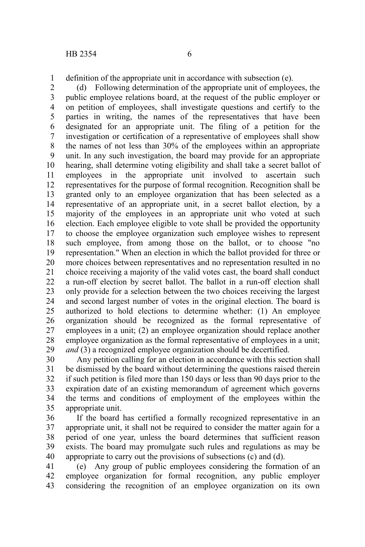definition of the appropriate unit in accordance with subsection (e). 1

(d) Following determination of the appropriate unit of employees, the public employee relations board, at the request of the public employer or on petition of employees, shall investigate questions and certify to the parties in writing, the names of the representatives that have been designated for an appropriate unit. The filing of a petition for the investigation or certification of a representative of employees shall show the names of not less than 30% of the employees within an appropriate unit. In any such investigation, the board may provide for an appropriate hearing, shall determine voting eligibility and shall take a secret ballot of employees in the appropriate unit involved to ascertain such representatives for the purpose of formal recognition. Recognition shall be granted only to an employee organization that has been selected as a representative of an appropriate unit, in a secret ballot election, by a majority of the employees in an appropriate unit who voted at such election. Each employee eligible to vote shall be provided the opportunity to choose the employee organization such employee wishes to represent such employee, from among those on the ballot, or to choose "no representation." When an election in which the ballot provided for three or more choices between representatives and no representation resulted in no choice receiving a majority of the valid votes cast, the board shall conduct a run-off election by secret ballot. The ballot in a run-off election shall only provide for a selection between the two choices receiving the largest and second largest number of votes in the original election. The board is authorized to hold elections to determine whether: (1) An employee organization should be recognized as the formal representative of employees in a unit; (2) an employee organization should replace another employee organization as the formal representative of employees in a unit; *and* (3) a recognized employee organization should be decertified. 2 3 4 5 6 7 8 9 10 11 12 13 14 15 16 17 18 19 20 21 22 23 24 25 26 27 28 29

Any petition calling for an election in accordance with this section shall be dismissed by the board without determining the questions raised therein if such petition is filed more than 150 days or less than 90 days prior to the expiration date of an existing memorandum of agreement which governs the terms and conditions of employment of the employees within the appropriate unit. 30 31 32 33 34 35

If the board has certified a formally recognized representative in an appropriate unit, it shall not be required to consider the matter again for a period of one year, unless the board determines that sufficient reason exists. The board may promulgate such rules and regulations as may be appropriate to carry out the provisions of subsections (c) and (d). 36 37 38 39 40

(e) Any group of public employees considering the formation of an employee organization for formal recognition, any public employer considering the recognition of an employee organization on its own 41 42 43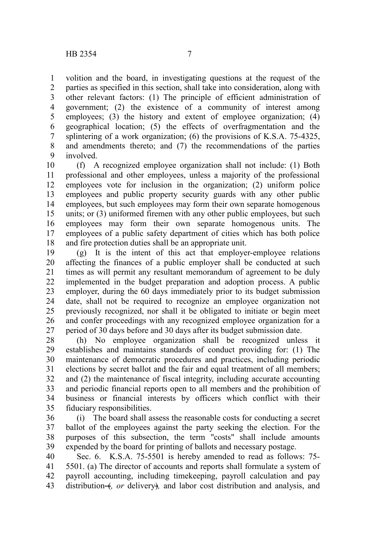volition and the board, in investigating questions at the request of the parties as specified in this section, shall take into consideration, along with other relevant factors: (1) The principle of efficient administration of government; (2) the existence of a community of interest among employees; (3) the history and extent of employee organization; (4) geographical location; (5) the effects of overfragmentation and the splintering of a work organization; (6) the provisions of K.S.A. 75-4325, and amendments thereto; and (7) the recommendations of the parties involved. 1 2 3 4 5 6 7 8 9

(f) A recognized employee organization shall not include: (1) Both professional and other employees, unless a majority of the professional employees vote for inclusion in the organization; (2) uniform police employees and public property security guards with any other public employees, but such employees may form their own separate homogenous units; or (3) uniformed firemen with any other public employees, but such employees may form their own separate homogenous units. The employees of a public safety department of cities which has both police and fire protection duties shall be an appropriate unit. 10 11 12 13 14 15 16 17 18

(g) It is the intent of this act that employer-employee relations affecting the finances of a public employer shall be conducted at such times as will permit any resultant memorandum of agreement to be duly implemented in the budget preparation and adoption process. A public employer, during the 60 days immediately prior to its budget submission date, shall not be required to recognize an employee organization not previously recognized, nor shall it be obligated to initiate or begin meet and confer proceedings with any recognized employee organization for a period of 30 days before and 30 days after its budget submission date. 19 20 21 22 23 24 25 26 27

(h) No employee organization shall be recognized unless it establishes and maintains standards of conduct providing for: (1) The maintenance of democratic procedures and practices, including periodic elections by secret ballot and the fair and equal treatment of all members; and (2) the maintenance of fiscal integrity, including accurate accounting and periodic financial reports open to all members and the prohibition of business or financial interests by officers which conflict with their fiduciary responsibilities. 28 29 30 31 32 33 34 35

(i) The board shall assess the reasonable costs for conducting a secret ballot of the employees against the party seeking the election. For the purposes of this subsection, the term "costs" shall include amounts expended by the board for printing of ballots and necessary postage. 36 37 38 39

Sec. 6. K.S.A. 75-5501 is hereby amended to read as follows: 75- 5501. (a) The director of accounts and reports shall formulate a system of payroll accounting, including timekeeping, payroll calculation and pay distribution (*f, or* delivery), and labor cost distribution and analysis, and 40 41 42 43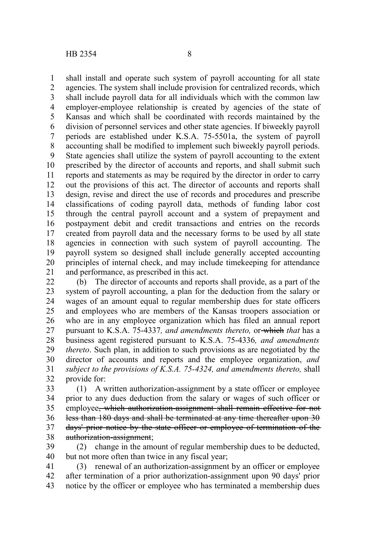shall install and operate such system of payroll accounting for all state agencies. The system shall include provision for centralized records, which shall include payroll data for all individuals which with the common law employer-employee relationship is created by agencies of the state of Kansas and which shall be coordinated with records maintained by the division of personnel services and other state agencies. If biweekly payroll periods are established under K.S.A. 75-5501a, the system of payroll accounting shall be modified to implement such biweekly payroll periods. State agencies shall utilize the system of payroll accounting to the extent prescribed by the director of accounts and reports, and shall submit such reports and statements as may be required by the director in order to carry out the provisions of this act. The director of accounts and reports shall design, revise and direct the use of records and procedures and prescribe classifications of coding payroll data, methods of funding labor cost through the central payroll account and a system of prepayment and postpayment debit and credit transactions and entries on the records created from payroll data and the necessary forms to be used by all state agencies in connection with such system of payroll accounting. The payroll system so designed shall include generally accepted accounting principles of internal check, and may include timekeeping for attendance and performance, as prescribed in this act. 1 2 3 4 5 6 7 8 9 10 11 12 13 14 15 16 17 18 19 20 21

(b) The director of accounts and reports shall provide, as a part of the system of payroll accounting, a plan for the deduction from the salary or wages of an amount equal to regular membership dues for state officers and employees who are members of the Kansas troopers association or who are in any employee organization which has filed an annual report pursuant to K.S.A. 75-4337*, and amendments thereto,* or which *that* has a business agent registered pursuant to K.S.A. 75-4336*, and amendments thereto*. Such plan, in addition to such provisions as are negotiated by the director of accounts and reports and the employee organization, *and subject to the provisions of K.S.A. 75-4324, and amendments thereto,* shall provide for: 22 23 24 25 26 27 28 29 30 31 32

(1) A written authorization-assignment by a state officer or employee prior to any dues deduction from the salary or wages of such officer or employee, which authorization-assignment shall remain effective for not less than 180 days and shall be terminated at any time thereafter upon 30 days' prior notice by the state officer or employee of termination of the authorization-assignment; 33 34 35 36 37 38

(2) change in the amount of regular membership dues to be deducted, but not more often than twice in any fiscal year; 39 40

(3) renewal of an authorization-assignment by an officer or employee after termination of a prior authorization-assignment upon 90 days' prior notice by the officer or employee who has terminated a membership dues 41 42 43